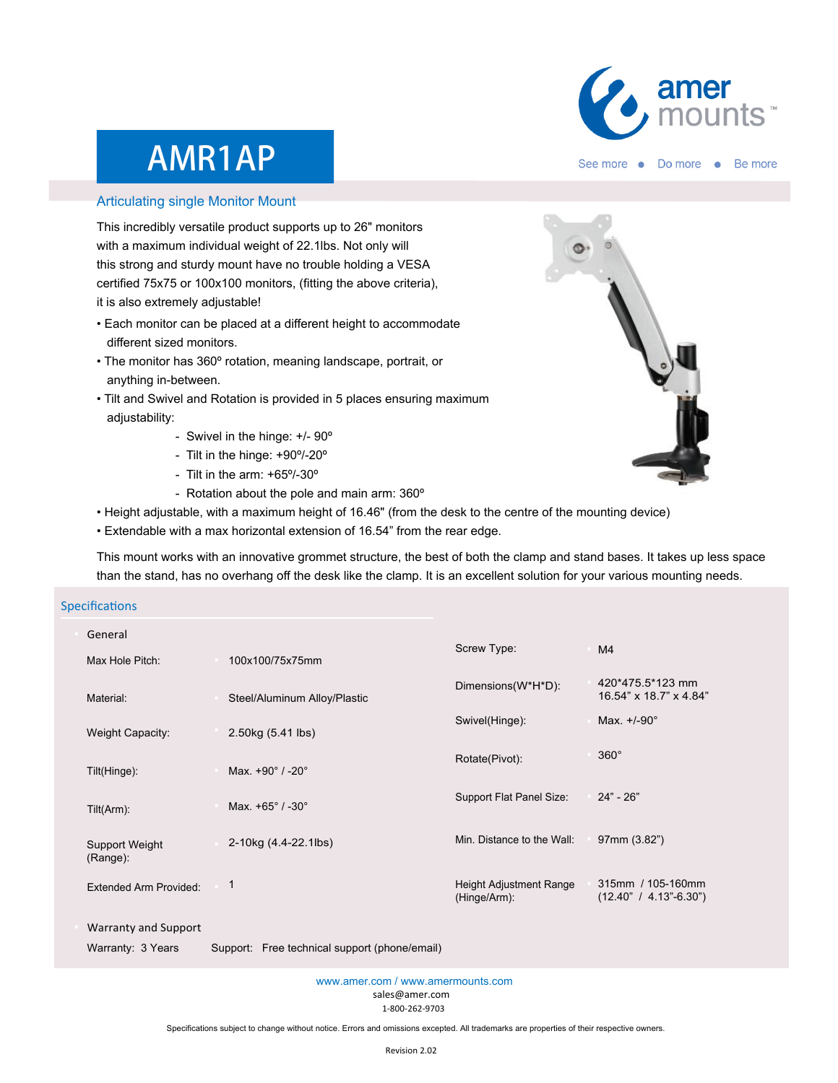

# AMR1AP

#### Articulating single Monitor Mount

This incredibly versatile product supports up to 26" monitors with a maximum individual weight of 22.1lbs. Not only will this strong and sturdy mount have no trouble holding a VESA certified 75x75 or 100x100 monitors, (fitting the above criteria), it is also extremely adjustable!

- Each monitor can be placed at a different height to accommodate different sized monitors.
- The monitor has 360º rotation, meaning landscape, portrait, or anything in-between.
- Tilt and Swivel and Rotation is provided in 5 places ensuring maximum adjustability:
	- Swivel in the hinge: +/- 90º
	- Tilt in the hinge: +90º/-20º
	- Tilt in the arm: +65º/-30º
	- Rotation about the pole and main arm: 360º
- Height adjustable, with a maximum height of 16.46" (from the desk to the centre of the mounting device)
- Extendable with a max horizontal extension of 16.54" from the rear edge.

This mount works with an innovative grommet structure, the best of both the clamp and stand bases. It takes up less space than the stand, has no overhang off the desk like the clamp. It is an excellent solution for your various mounting needs.

### **Specifications**

| General                       |  |                              |                                                |                                                 |
|-------------------------------|--|------------------------------|------------------------------------------------|-------------------------------------------------|
| Max Hole Pitch:               |  | 100x100/75x75mm              | Screw Type:                                    | M <sub>4</sub>                                  |
| Material:                     |  | Steel/Aluminum Alloy/Plastic | Dimensions(W*H*D):                             | 420*475.5*123 mm<br>16.54" x 18.7" x 4.84"      |
| Weight Capacity:              |  | 2.50kg (5.41 lbs)            | Swivel(Hinge):                                 | Max. $+/-90^\circ$                              |
| Tilt(Hinge):                  |  | Max. +90° / -20°             | Rotate(Pivot):                                 | $360^\circ$                                     |
| Tilt(Arm):                    |  | Max. +65° / -30°             | Support Flat Panel Size:                       | $24" - 26"$                                     |
| Support Weight<br>$(Range)$ : |  | 2-10kg (4.4-22.1lbs)         | Min. Distance to the Wall:                     | 97mm (3.82")                                    |
| <b>Extended Arm Provided:</b> |  | 1                            | <b>Height Adjustment Range</b><br>(Hinge/Arm): | 315mm / 105-160mm<br>$(12.40" / 4.13" - 6.30")$ |
| Warranty and Support          |  |                              |                                                |                                                 |

Warranty: 3 Years Support: Free technical support (phone/email)

sales@amer.com 1-800-262-9703 www.amer.com / www.amermounts.com

Specifications subject to change without notice. Errors and omissions excepted. All trademarks are properties of their respective owners.